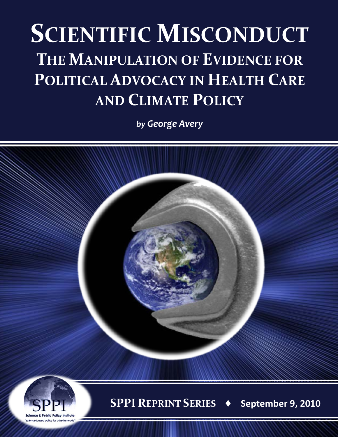# **SCIENTIFIC MISCONDUCT THE MANIPULATION OF EVIDENCE FOR POLITICAL ADVOCACY IN HEALTH CARE AND CLIMATE POLICY**

*by George Avery*

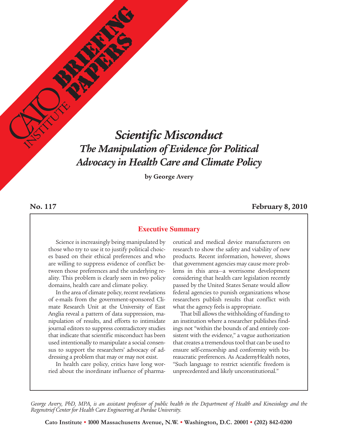## *Scientific Misconduct The Manipulation of Evidence for Political Advocacy in Health Care and Climate Policy*

**by George Avery**

**No. 117 February 8, 2010**

#### **Executive Summary**

Science is increasingly being manipulated by those who try to use it to justify political choices based on their ethical preferences and who are willing to suppress evidence of conflict between those preferences and the underlying reality. This problem is clearly seen in two policy domains, health care and climate policy.

In the area of climate policy, recent revelations of e-mails from the government-sponsored Climate Research Unit at the University of East Anglia reveal a pattern of data suppression, manipulation of results, and efforts to intimidate journal editors to suppress contradictory studies that indicate that scientific misconduct has been used intentionally to manipulate a social consensus to support the researchers' advocacy of addressing a problem that may or may not exist.

In health care policy, critics have long worried about the inordinate influence of pharmaceutical and medical device manufacturers on research to show the safety and viability of new products. Recent information, however, shows that government agencies may cause more problems in this area—a worrisome development considering that health care legislation recently passed by the United States Senate would allow federal agencies to punish organizations whose researchers publish results that conflict with what the agency feels is appropriate.

That bill allows the withholding of funding to an institution where a researcher publishes findings not "within the bounds of and entirely consistent with the evidence," a vague authorization that creates a tremendous tool that can be used to ensure self-censorship and conformity with bureaucratic preferences. As AcademyHealth notes, "Such language to restrict scientific freedom is unprecedented and likely unconstitutional."

*George Avery, PhD, MPA, is an assistant professor of public health in the Department of Health and Kinesiology and the Regenstrief Center for Health Care Engineering at Purdue University.*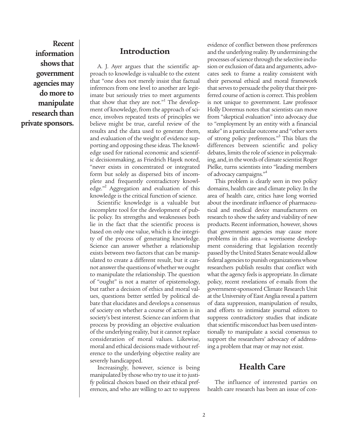**Recent information shows that government agencies may do more to manipulate research than private sponsors.**

### **Introduction**

A. J. Ayer argues that the scientific approach to knowledge is valuable to the extent that "one does not merely insist that factual inferences from one level to another are legitimate but seriously tries to meet arguments that show that they are not."<sup>1</sup> The development of knowledge, from the approach of science, involves repeated tests of principles we believe might be true, careful review of the results and the data used to generate them, and evaluation of the weight of evidence supporting and opposing these ideas. The knowledge used for rational economic and scientific decisionmaking, as Friedrich Hayek noted, "never exists in concentrated or integrated form but solely as dispersed bits of incomplete and frequently contradictory knowledge."<sup>2</sup> Aggregation and evaluation of this knowledge is the critical function of science.

Scientific knowledge is a valuable but incomplete tool for the development of public policy. Its strengths and weaknesses both lie in the fact that the scientific process is based on only one value, which is the integrity of the process of generating knowledge. Science can answer whether a relationship exists between two factors that can be manipulated to create a different result, but it cannot answer the questions of whether we ought to manipulate the relationship. The question of "ought" is not a matter of epistemology, but rather a decision of ethics and moral values, questions better settled by political debate that elucidates and develops a consensus of society on whether a course of action is in society's best interest. Science can inform that process by providing an objective evaluation of the underlying reality, but it cannot replace consideration of moral values. Likewise, moral and ethical decisions made without reference to the underlying objective reality are severely handicapped.

Increasingly, however, science is being manipulated by those who try to use it to justify political choices based on their ethical preferences, and who are willing to act to suppress evidence of conflict between those preferences and the underlying reality. By undermining the processes of science through the selective inclusion or exclusion of data and arguments, advocates seek to frame a reality consistent with their personal ethical and moral framework that serves to persuade the polity that their preferred course of action is correct. This problem is not unique to government. Law professor Holly Doremus notes that scientists can move from "skeptical evaluation" into advocacy due to "employment by an entity with a financial stake" in a particular outcome and "other sorts of strong policy preferences."3 This blurs the differences between scientific and policy debates, limits the role of science in policymaking, and, in the words of climate scientist Roger Pielke, turns scientists into "leading members of advocacy campaigns."4

This problem is clearly seen in two policy domains, health care and climate policy. In the area of health care, critics have long worried about the inordinate influence of pharmaceutical and medical device manufacturers on research to show the safety and viability of new products. Recent information, however, shows that government agencies may cause more problems in this area—a worrisome development considering that legislation recently passed by the United States Senate would allow federal agencies to punish organizations whose researchers publish results that conflict with what the agency feels is appropriate. In climate policy, recent revelations of e-mails from the government-sponsored Climate Research Unit at the University of East Anglia reveal a pattern of data suppression, manipulation of results, and efforts to intimidate journal editors to suppress contradictory studies that indicate that scientific misconduct has been used intentionally to manipulate a social consensus to support the researchers' advocacy of addressing a problem that may or may not exist.

#### **Health Care**

The influence of interested parties on health care research has been an issue of con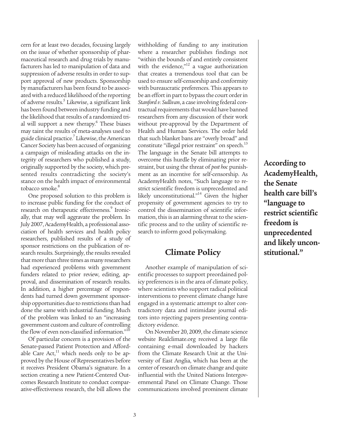cern for at least two decades, focusing largely on the issue of whether sponsorship of pharmaceutical research and drug trials by manufacturers has led to manipulation of data and suppression of adverse results in order to support approval of new products. Sponsorship by manufacturers has been found to be associated with a reduced likelihood of the reporting of adverse results.<sup>5</sup> Likewise, a significant link has been found between industry funding and the likelihood that results of a randomized trial will support a new therapy.<sup>6</sup> These biases may taint the results of meta-analyses used to guide clinical practice.7 Likewise, the American Cancer Society has been accused of organizing a campaign of misleading attacks on the integrity of researchers who published a study, originally supported by the society, which presented results contradicting the society's stance on the health impact of environmental tobacco smoke.<sup>8</sup>

One proposed solution to this problem is to increase public funding for the conduct of research on therapeutic effectiveness.<sup>9</sup> Ironically, that may well aggravate the problem. In July 2007, AcademyHealth, a professional association of health services and health policy researchers, published results of a study of sponsor restrictions on the publication of research results. Surprisingly, the results revealed that more than three times as many researchers had experienced problems with government funders related to prior review, editing, approval, and dissemination of research results. In addition, a higher percentage of respondents had turned down government sponsorship opportunities due to restrictions than had done the same with industrial funding. Much of the problem was linked to an "increasing government custom and culture of controlling the flow of even non-classified information."<sup>10</sup>

Of particular concern is a provision of the Senate-passed Patient Protection and Affordable Care Act, $11$  which needs only to be approved by the House of Representatives before it receives President Obama's signature. In a section creating a new Patient-Centered Outcomes Research Institute to conduct comparative-effectiveness research, the bill allows the withholding of funding to any institution where a researcher publishes findings not "within the bounds of and entirely consistent with the evidence, $n^{12}$  a vague authorization that creates a tremendous tool that can be used to ensure self-censorship and conformity with bureaucratic preferences. This appears to be an effort in part to bypass the court order in *Stanford v. Sullivan*, a case involving federal contractual requirements that would have banned researchers from any discussion of their work without pre-approval by the Department of Health and Human Services. The order held that such blanket bans are "overly broad" and constitute "illegal prior restraint" on speech.<sup>13</sup> The language in the Senate bill attempts to overcome this hurdle by eliminating prior restraint, but using the threat of *post hoc* punishment as an incentive for self-censorship. As AcademyHealth notes, "Such language to restrict scientific freedom is unprecedented and likely unconstitutional."<sup>14</sup> Given the higher propensity of government agencies to try to control the dissemination of scientific information, this is an alarming threat to the scientific process and to the utility of scientific research to inform good policymaking.

#### **Climate Policy**

Another example of manipulation of scientific processes to support preordained policy preferences is in the area of climate policy, where scientists who support radical political interventions to prevent climate change have engaged in a systematic attempt to alter contradictory data and intimidate journal editors into rejecting papers presenting contradictory evidence.

On November 20, 2009, the climate science website Realclimate.org received a large file containing e-mail downloaded by hackers from the Climate Research Unit at the University of East Anglia, which has been at the center of research on climate change and quite influential with the United Nations Intergovernmental Panel on Climate Change. Those communications involved prominent climate

**According to AcademyHealth, the Senate health care bill's "language to restrict scientific freedom is unprecedented and likely unconstitutional."**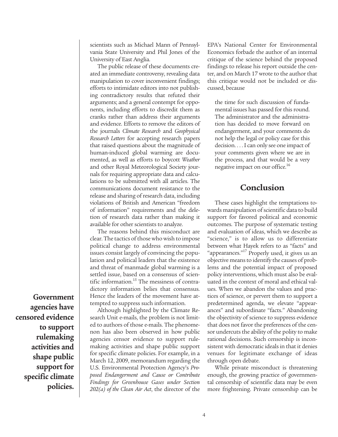scientists such as Michael Mann of Pennsylvania State University and Phil Jones of the University of East Anglia.

The public release of these documents created an immediate controversy, revealing data manipulation to cover inconvenient findings; efforts to intimidate editors into not publishing contradictory results that refuted their arguments; and a general contempt for opponents, including efforts to discredit them as cranks rather than address their arguments and evidence. Efforts to remove the editors of the journals *Climate Research* and *Geophysical Research Letters* for accepting research papers that raised questions about the magnitude of human-induced global warming are documented, as well as efforts to boycott *Weather* and other Royal Meteorological Society journals for requiring appropriate data and calculations to be submitted with all articles. The communications document resistance to the release and sharing of research data, including violations of British and American "freedom of information" requirements and the deletion of research data rather than making it available for other scientists to analyze.

The reasons behind this misconduct are clear. The tactics of those who wish to impose political change to address environmental issues consist largely of convincing the population and political leaders that the existence and threat of manmade global warming is a settled issue, based on a consensus of scientific information.<sup>15</sup> The messiness of contradictory information belies that consensus. Hence the leaders of the movement have attempted to suppress such information.

Although highlighted by the Climate Research Unit e-mails, the problem is not limited to authors of those e-mails. The phenomenon has also been observed in how public agencies censor evidence to support rulemaking activities and shape public support for specific climate policies. For example, in a March 12, 2009, memorandum regarding the U.S. Environmental Protection Agency's *Proposed Endangerment and Cause or Contribute Findings for Greenhouse Gases under Section 202(a) of the Clean Air Act*, the director of the EPA's National Center for Environmental Economics forbade the author of an internal critique of the science behind the proposed findings to release his report outside the center, and on March 17 wrote to the author that this critique would not be included or discussed, because

the time for such discussion of fundamental issues has passed for this round. The administrator and the administration has decided to move forward on endangerment, and your comments do not help the legal or policy case for this decision. . . . I can only see one impact of your comments given where we are in the process, and that would be a very negative impact on our office.<sup>16</sup>

#### **Conclusion**

These cases highlight the temptations towards manipulation of scientific data to build support for favored political and economic outcomes. The purpose of systematic testing and evaluation of ideas, which we describe as "science," is to allow us to differentiate between what Hayek refers to as "facts" and "appearances."<sup>17</sup> Properly used, it gives us an objective means to identify the causes of problems and the potential impact of proposed policy interventions, which must also be evaluated in the context of moral and ethical values. When we abandon the values and practices of science, or pervert them to support a predetermined agenda, we elevate "appearances" and subordinate "facts." Abandoning the objectivity of science to suppress evidence that does not favor the preferences of the censor undercuts the ability of the polity to make rational decisions. Such censorship is inconsistent with democratic ideals in that it denies venues for legitimate exchange of ideas through open debate.

While private misconduct is threatening enough, the growing practice of governmental censorship of scientific data may be even more frightening. Private censorship can be

**Government agencies have censored evidence to support rulemaking activities and shape public support for specific climate policies.**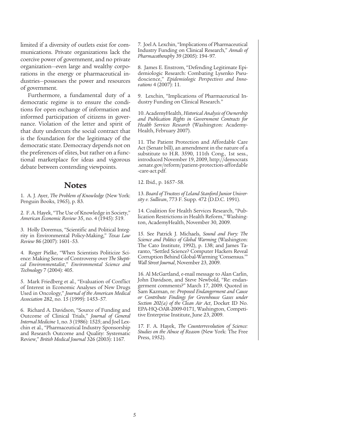limited if a diversity of outlets exist for communications. Private organizations lack the coercive power of government, and no private organization—even large and wealthy corporations in the energy or pharmaceutical industries—possesses the power and resources of government.

Furthermore, a fundamental duty of a democratic regime is to ensure the conditions for open exchange of information and informed participation of citizens in governance. Violation of the letter and spirit of that duty undercuts the social contract that is the foundation for the legitimacy of the democratic state. Democracy depends not on the preferences of elites, but rather on a functional marketplace for ideas and vigorous debate between contending viewpoints.

#### **Notes**

1. A. J. Ayer, *The Problem of Knowledge* (New York: Penguin Books, 1965), p. 83.

2. F. A. Hayek, "The Use of Knowledge in Society," *American Economic Review* 35, no. 4 (1945): 519.

3. Holly Doremus, "Scientific and Political Integrity in Environmental Policy-Making," *Texas Law Review* 86 (2007): 1601–53.

4. Roger Pielke, "When Scientists Politicize Science: Making Sense of Controversy over *The Skeptical Environmentalist*," *Environmental Science and Technology* 7 (2004): 405.

5. Mark Friedberg et al., "Evaluation of Conflict of Interest in Economic Analyses of New Drugs Used in Oncology," *Journal of the American Medical Association* 282, no. 15 (1999): 1453–57.

6. Richard A. Davidson, "Source of Funding and Outcome of Clinical Trials," *Journal of General Internal Medicine* 1, no. 3 (1986): 1525; and Joel Lexchin et al., "Pharmaceutical Industry Sponsorship and Research Outcome and Quality: Systematic Review," *British Medical Journal* 326 (2003): 1167.

7. Joel A. Lexchin, "Implications of Pharmaceutical Industry Funding on Clinical Research," *Annals of Pharmacotheraphy* 39 (2005): 194–97.

8. James E. Enstrom, "Defending Legitimate Epidemiologic Research: Combating Lysenko Pseudoscience," *Epidemiologic Perspectives and Innovations* 4 (2007): 11.

9. Lexchin, "Implications of Pharmaceutical Industry Funding on Clinical Research."

10. AcademyHealth, *Historical Analysis of Ownership and Publication Rights in Government Contracts for Health Services Research* (Washington: Academy-Health, February 2007).

11. The Patient Protection and Affordable Care Act (Senate bill), an amendment in the nature of a substitute to H.R. 3590, 111th Cong., 1st sess., introduced November 19, 2009, http://democrats .senate.gov/reform/patient-protection-affordable -care-act.pdf.

12. Ibid., p. 1657–58.

13. *Board of Trustees of Leland Stanford Junior University v. Sullivan*, 773 F. Supp. 472 (D.D.C. 1991).

14. Coalition for Health Services Research, "Publication Restrictions in Health Reform," Washington, AcademyHealth, November 30, 2009.

15. See Patrick J. Michaels, *Sound and Fury: The Science and Politics of Global Warming* (Washington: The Cato Institute, 1992), p. 138; and James Taranto, "Settled Science? Computer Hackers Reveal Corruption Behind Global-Warming 'Consensus.'" *Wall Street Journal*, November 23, 2009.

16. Al McGartland, e-mail message to Alan Carlin, John Davidson, and Steve Newbold, "Re: endangerment comments?" March 17, 2009. Quoted in Sam Kazman, re: *Proposed Endangerment and Cause or Contribute Findings for Greenhouse Gases under Section 202(a) of the Clean Air Act*, Docket ID No. EPA-HQ-OAR-2009-0171, Washington, Competitive Enterprise Institute, June 23, 2009.

17. F. A. Hayek, *The Counterrevolution of Science: Studies on the Abuse of Reason* (New York: The Free Press, 1952).